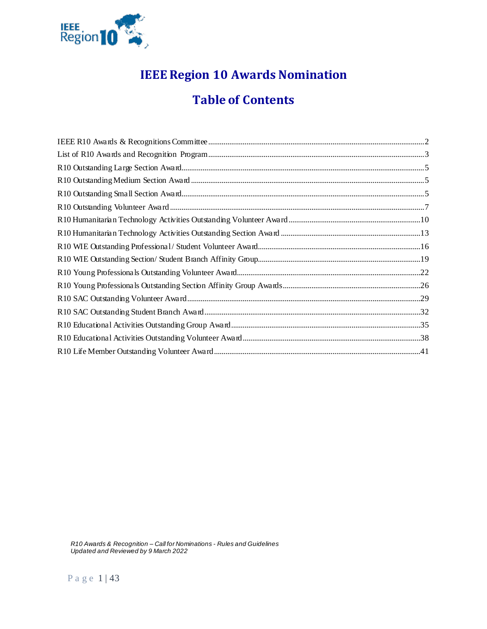

# **IEEE Region 10 Awards Nomination**

# **Table of Contents**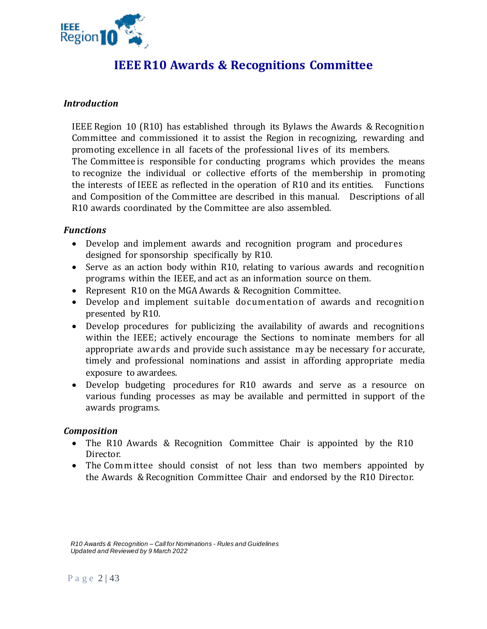

# **IEEE R10 Awards & Recognitions Committee**

# <span id="page-1-0"></span>*Introduction*

IEEE Region 10 (R10) has established through its Bylaws the Awards & Recognition Committee and commissioned it to assist the Region in recognizing, rewarding and promoting excellence in all facets of the professional lives of its members.

The Committee is responsible for conducting programs which provides the means to recognize the individual or collective efforts of the membership in promoting the interests of IEEE as reflected in the operation of R10 and its entities. Functions and Composition of the Committee are described in this manual. Descriptions of all R10 awards coordinated by the Committee are also assembled.

## *Functions*

- Develop and implement awards and recognition program and procedures designed for sponsorship specifically by R10.
- Serve as an action body within R10, relating to various awards and recognition programs within the IEEE, and act as an information source on them.
- Represent R10 on the MGA Awards & Recognition Committee.
- Develop and implement suitable documentation of awards and recognition presented by R10.
- Develop procedures for publicizing the availability of awards and recognitions within the IEEE; actively encourage the Sections to nominate members for all appropriate awards and provide such assistance may be necessary for accurate, timely and professional nominations and assist in affording appropriate media exposure to awardees.
- Develop budgeting procedures for R10 awards and serve as a resource on various funding processes as may be available and permitted in support of the awards programs.

## *Composition*

- The R10 Awards & Recognition Committee Chair is appointed by the R10 Director.
- The Committee should consist of not less than two members appointed by the Awards & Recognition Committee Chair and endorsed by the R10 Director.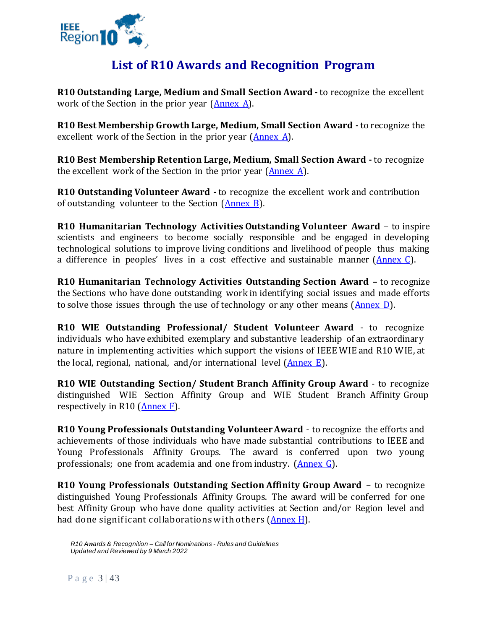

# **List of R10 Awards and Recognition Program**

<span id="page-2-0"></span>**R10 Outstanding Large, Medium and Small Section Award -** to recognize the excellent work of the Section in the prior year  $(An)$ .

**R10 Best Membership Growth Large, Medium, Small Section Award -** to recognize the excellent work of the Section in the prior year [\(Annex](#page-4-3) A).

**R10 Best Membership Retention Large, Medium, Small Section Award -** to recognize the excellent work of the Section in the prior year [\(Annex](#page-4-3) A).

**R10 Outstanding Volunteer Award -** to recognize the excellent work and contribution of outstanding volunteer to the Section [\(Annex](#page-6-1) B).

**R10 Humanitarian Technology Activities Outstanding Volunteer Award** – to inspire scientists and engineers to become socially responsible and be engaged in developing technological solutions to improve living conditions and livelihood of people thus making a difference in peoples' lives in a cost effective and sustainable manner  $(\underline{\text{Annex C}})$ .

**R10 Humanitarian Technology Activities Outstanding Section Award –** to recognize the Sections who have done outstanding work in identifying social issues and made efforts to solve those issues through the use of technology or any other means [\(Annex](#page-12-1) D).

**R10 WIE Outstanding Professional/ Student Volunteer Award** - to recognize individuals who have exhibited exemplary and substantive leadership of an extraordinary nature in implementing activities which support the visions of IEEE WIE and R10 WIE, at the local, regional, national, and/or international level [\(Annex](#page-15-1) E).

**R10 WIE Outstanding Section/ Student Branch Affinity Group Award** - to recognize distinguished WIE Section Affinity Group and WIE Student Branch Affinity Group respectively in R10 [\(Annex F\)](#page-18-1).

**R10 Young Professionals Outstanding Volunteer Award** - to recognize the efforts and achievements of those individuals who have made substantial contributions to IEEE and Young Professionals Affinity Groups. The award is conferred upon two young professionals; one from academia and one from industry. [\(Annex G\)](#page-21-1).

**R10 Young Professionals Outstanding Section Affinity Group Award** – to recognize distinguished Young Professionals Affinity Groups. The award will be conferred for one best Affinity Group who have done quality activities at Section and/or Region level and had done significant collaborations with others [\(Annex](#page-25-1) H).

P a g e 3 | 43

*R10 Awards & Recognition – Call for Nominations - Rules and Guidelines Updated and Reviewed by 9 March 2022*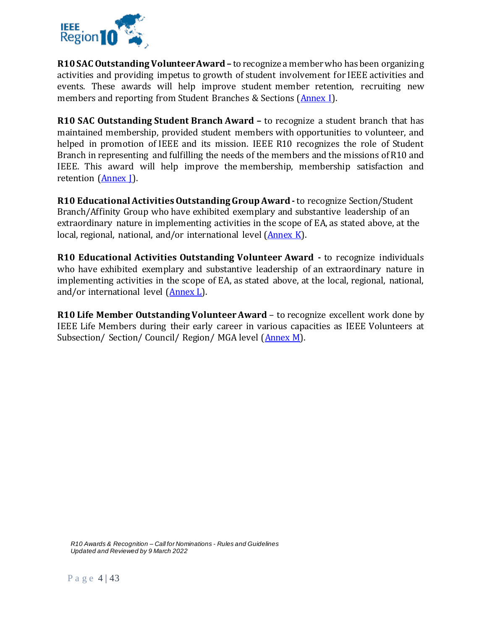

**R10 SAC Outstanding Volunteer Award –** to recognize a member who has been organizing activities and providing impetus to growth of student involvement for IEEE activities and events. These awards will help improve student member retention, recruiting new members and reporting from Student Branches & Sections [\(Annex I\)](#page-28-1).

**R10 SAC Outstanding Student Branch Award –** to recognize a student branch that has maintained membership, provided student members with opportunities to volunteer, and helped in promotion of IEEE and its mission. IEEE R10 recognizes the role of Student Branch in representing and fulfilling the needs of the members and the missions of R10 and IEEE. This award will help improve the membership, membership satisfaction and retention (Annex I).

**R10 Educational Activities Outstanding Group Award-** to recognize Section/Student Branch/Affinity Group who have exhibited exemplary and substantive leadership of an extraordinary nature in implementing activities in the scope of EA, as stated above, at the local, regional, national, and/or international level [\(Annex K\)](#page-34-1).

**R10 Educational Activities Outstanding Volunteer Award -** to recognize individuals who have exhibited exemplary and substantive leadership of an extraordinary nature in implementing activities in the scope of EA, as stated above, at the local, regional, national, and/or international level [\(Annex L\)](#page-37-1).

**R10 Life Member Outstanding Volunteer Award** – to recognize excellent work done by IEEE Life Members during their early career in various capacities as IEEE Volunteers at Subsection/ Section/ Council/ Region/ MGA level [\(Annex M\)](#page-40-1).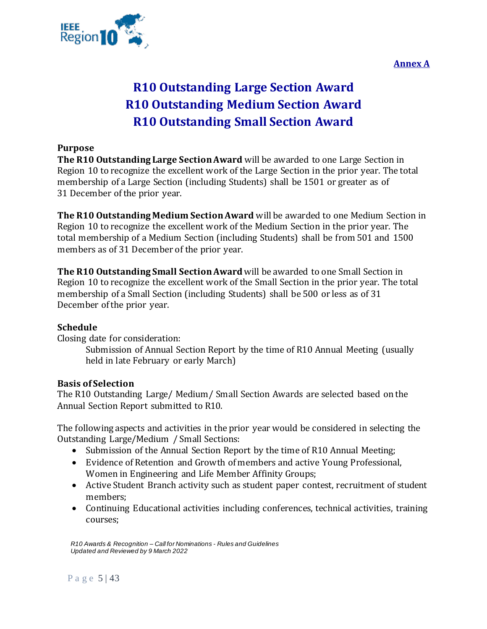**Annex A**

<span id="page-4-3"></span>

# **R10 Outstanding Large Section Award R10 Outstanding Medium Section Award R10 Outstanding Small Section Award**

# <span id="page-4-2"></span><span id="page-4-1"></span><span id="page-4-0"></span>**Purpose**

**The R10 Outstanding Large Section Award** will be awarded to one Large Section in Region 10 to recognize the excellent work of the Large Section in the prior year. The total membership of a Large Section (including Students) shall be 1501 or greater as of 31 December of the prior year.

**The R10 Outstanding Medium Section Award** will be awarded to one Medium Section in Region 10 to recognize the excellent work of the Medium Section in the prior year. The total membership of a Medium Section (including Students) shall be from 501 and 1500 members as of 31 December of the prior year.

**The R10 Outstanding Small Section Award**will be awarded to one Small Section in Region 10 to recognize the excellent work of the Small Section in the prior year. The total membership of a Small Section (including Students) shall be 500 or less as of 31 December of the prior year.

## **Schedule**

Closing date for consideration:

Submission of Annual Section Report by the time of R10 Annual Meeting (usually held in late February or early March)

## **Basis of Selection**

The R10 Outstanding Large/ Medium/ Small Section Awards are selected based on the Annual Section Report submitted to R10.

The following aspects and activities in the prior year would be considered in selecting the Outstanding Large/Medium / Small Sections:

- Submission of the Annual Section Report by the time of R10 Annual Meeting;
- Evidence of Retention and Growth of members and active Young Professional, Women in Engineering and Life Member Affinity Groups;
- Active Student Branch activity such as student paper contest, recruitment of student members;
- Continuing Educational activities including conferences, technical activities, training courses;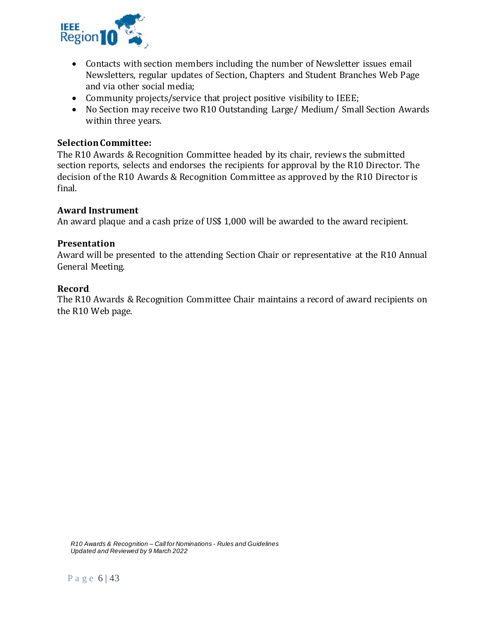

- Contacts with section members including the number of Newsletter issues email Newsletters, regular updates of Section, Chapters and Student Branches Web Page and via other social media;
- Community projects/service that project positive visibility to IEEE;
- No Section may receive two R10 Outstanding Large/ Medium/ Small Section Awards within three years.

## **Selection Committee:**

The R10 Awards & Recognition Committee headed by its chair, reviews the submitted section reports, selects and endorses the recipients for approval by the R10 Director. The decision of the R10 Awards & Recognition Committee as approved by the R10 Director is final.

#### **Award Instrument**

An award plaque and a cash prize of US\$ 1,000 will be awarded to the award recipient.

#### **Presentation**

Award will be presented to the attending Section Chair or representative at the R10 Annual General Meeting.

#### **Record**

The R10 Awards & Recognition Committee Chair maintains a record of award recipients on the R10 Web page.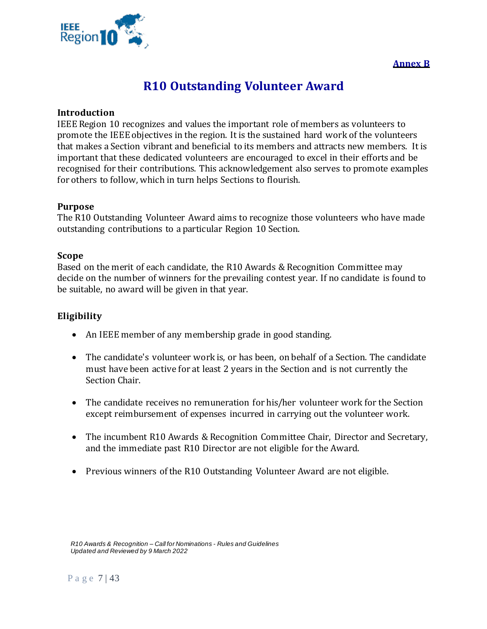<span id="page-6-1"></span>

# **Annex B**

# **R10 Outstanding Volunteer Award**

### <span id="page-6-0"></span>**Introduction**

IEEE Region 10 recognizes and values the important role of members as volunteers to promote the IEEE objectives in the region. It is the sustained hard work of the volunteers that makes a Section vibrant and beneficial to its members and attracts new members. It is important that these dedicated volunteers are encouraged to excel in their efforts and be recognised for their contributions. This acknowledgement also serves to promote examples for others to follow, which in turn helps Sections to flourish.

#### **Purpose**

The R10 Outstanding Volunteer Award aims to recognize those volunteers who have made outstanding contributions to a particular Region 10 Section.

#### **Scope**

Based on the merit of each candidate, the R10 Awards & Recognition Committee may decide on the number of winners for the prevailing contest year. If no candidate is found to be suitable, no award will be given in that year.

## **Eligibility**

- An IEEE member of any membership grade in good standing.
- The candidate's volunteer work is, or has been, on behalf of a Section. The candidate must have been active for at least 2 years in the Section and is not currently the Section Chair.
- The candidate receives no remuneration for his/her volunteer work for the Section except reimbursement of expenses incurred in carrying out the volunteer work.
- The incumbent R10 Awards & Recognition Committee Chair, Director and Secretary, and the immediate past R10 Director are not eligible for the Award.
- Previous winners of the R10 Outstanding Volunteer Award are not eligible.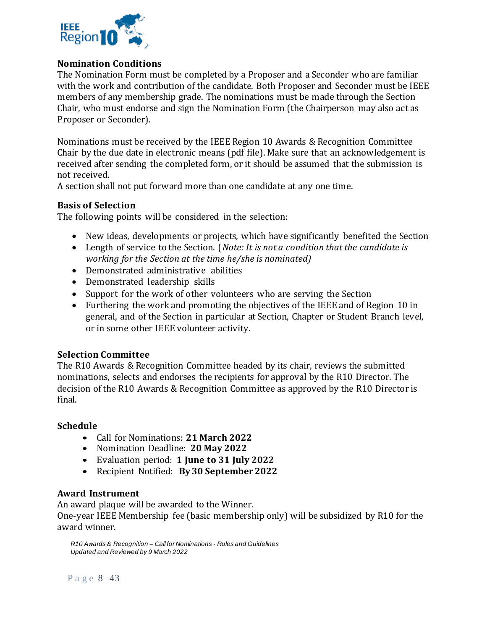

# **Nomination Conditions**

The Nomination Form must be completed by a Proposer and a Seconder who are familiar with the work and contribution of the candidate. Both Proposer and Seconder must be IEEE members of any membership grade. The nominations must be made through the Section Chair, who must endorse and sign the Nomination Form (the Chairperson may also act as Proposer or Seconder).

Nominations must be received by the IEEE Region 10 Awards & Recognition Committee Chair by the due date in electronic means (pdf file). Make sure that an acknowledgement is received after sending the completed form, or it should be assumed that the submission is not received.

A section shall not put forward more than one candidate at any one time.

# **Basis of Selection**

The following points will be considered in the selection:

- New ideas, developments or projects, which have significantly benefited the Section
- Length of service to the Section. (*Note: It is not a condition that the candidate is working for the Section at the time he/she is nominated)*
- Demonstrated administrative abilities
- Demonstrated leadership skills
- Support for the work of other volunteers who are serving the Section
- Furthering the work and promoting the objectives of the IEEE and of Region 10 in general, and of the Section in particular at Section, Chapter or Student Branch level, or in some other IEEE volunteer activity.

## **Selection Committee**

The R10 Awards & Recognition Committee headed by its chair, reviews the submitted nominations, selects and endorses the recipients for approval by the R10 Director. The decision of the R10 Awards & Recognition Committee as approved by the R10 Director is final.

## **Schedule**

- Call for Nominations: **21 March 2022**
- Nomination Deadline: **20 May 2022**
- Evaluation period: **1 June to 31 July 2022**
- Recipient Notified: **By 30 September 2022**

## **Award Instrument**

An award plaque will be awarded to the Winner.

One-year IEEE Membership fee (basic membership only) will be subsidized by R10 for the award winner.

*R10 Awards & Recognition – Call for Nominations - Rules and Guidelines Updated and Reviewed by 9 March 2022*

P a g e 8 | 43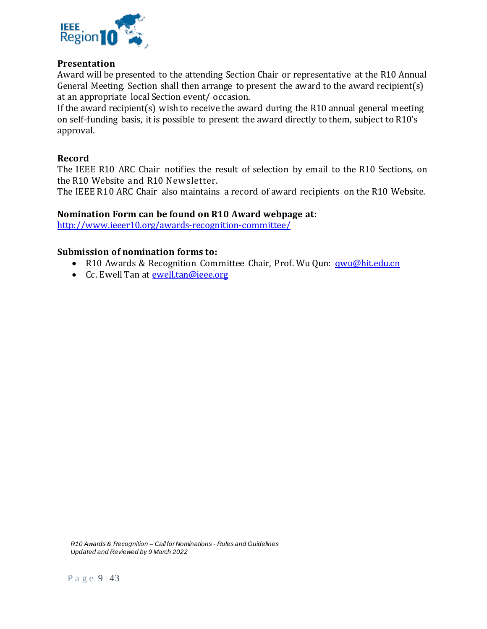

## **Presentation**

Award will be presented to the attending Section Chair or representative at the R10 Annual General Meeting. Section shall then arrange to present the award to the award recipient(s) at an appropriate local Section event/ occasion.

If the award recipient(s) wish to receive the award during the R10 annual general meeting on self-funding basis, it is possible to present the award directly to them, subject to R10's approval.

## **Record**

The IEEE R10 ARC Chair notifies the result of selection by email to the R10 Sections, on the R10 Website and R10 Newsletter.

The IEEE R10 ARC Chair also maintains a record of award recipients on the R10 Website.

#### **Nomination Form can be found on R10 Award webpage at:**

<http://www.ieeer10.org/awards-recognition-committee/>

#### **Submission of nomination forms to:**

- R10 Awards & Recognition Committee Chair, Prof. Wu Qun: [qwu@hit.edu.cn](mailto:epdadios@gmail.com)
- Cc. Ewell Tan at [ewell.tan@ieee.org](mailto:ewell.tan@ieee.org)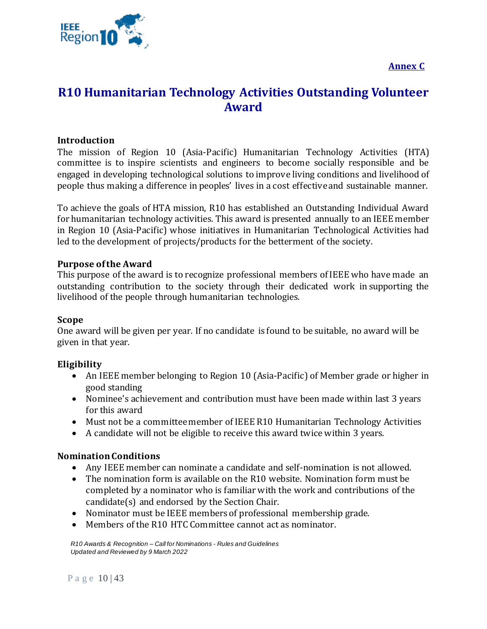



# <span id="page-9-1"></span><span id="page-9-0"></span>**R10 Humanitarian Technology Activities Outstanding Volunteer Award**

# **Introduction**

The mission of Region 10 (Asia-Pacific) Humanitarian Technology Activities (HTA) committee is to inspire scientists and engineers to become socially responsible and be engaged in developing technological solutions to improve living conditions and livelihood of people thus making a difference in peoples' lives in a cost effective and sustainable manner.

To achieve the goals of HTA mission, R10 has established an Outstanding Individual Award for humanitarian technology activities. This award is presented annually to an IEEE member in Region 10 (Asia-Pacific) whose initiatives in Humanitarian Technological Activities had led to the development of projects/products for the betterment of the society.

## **Purpose of the Award**

This purpose of the award is to recognize professional members of IEEE who have made an outstanding contribution to the society through their dedicated work in supporting the livelihood of the people through humanitarian technologies.

## **Scope**

One award will be given per year. If no candidate is found to be suitable, no award will be given in that year.

## **Eligibility**

- An IEEE member belonging to Region 10 (Asia-Pacific) of Member grade or higher in good standing
- Nominee's achievement and contribution must have been made within last 3 years for this award
- Must not be a committee member of IEEE R10 Humanitarian Technology Activities
- A candidate will not be eligible to receive this award twice within 3 years.

## **Nomination Conditions**

- Any IEEE member can nominate a candidate and self-nomination is not allowed.
- The nomination form is available on the R10 website. Nomination form must be completed by a nominator who is familiar with the work and contributions of the candidate(s) and endorsed by the Section Chair.
- Nominator must be IEEE members of professional membership grade.
- Members of the R10 HTC Committee cannot act as nominator.

*R10 Awards & Recognition – Call for Nominations - Rules and Guidelines Updated and Reviewed by 9 March 2022*

Page  $10/43$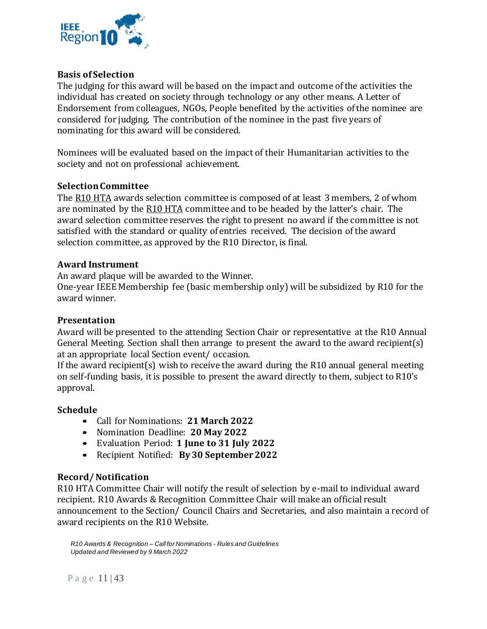

# **Basis of Selection**

The judging for this award will be based on the impact and outcome of the activities the individual has created on society through technology or any other means. A Letter of Endorsement from colleagues, NGOs, People benefited by the activities of the nominee are considered for judging. The contribution of the nominee in the past five years of nominating for this award will be considered.

Nominees will be evaluated based on the impact of their Humanitarian activities to the society and not on professional achievement.

## **Selection Committee**

The R10 HTA awards selection committee is composed of at least 3 members, 2 of whom are nominated by the R10 HTA committee and to be headed by the latter's chair. The award selection committee reserves the right to present no award if the committee is not satisfied with the standard or quality of entries received. The decision of the award selection committee, as approved by the R10 Director, is final.

## **Award Instrument**

An award plaque will be awarded to the Winner.

One-year IEEE Membership fee (basic membership only) will be subsidized by R10 for the award winner.

## **Presentation**

Award will be presented to the attending Section Chair or representative at the R10 Annual General Meeting. Section shall then arrange to present the award to the award recipient(s) at an appropriate local Section event/ occasion.

If the award recipient(s) wish to receive the award during the R10 annual general meeting on self-funding basis, it is possible to present the award directly to them, subject to R10's approval.

## **Schedule**

- Call for Nominations: **21 March 2022**
- Nomination Deadline: **20 May 2022**
- Evaluation Period: **1 June to 31 July 2022**
- Recipient Notified: **By 30 September 2022**

# **Record/ Notification**

R10 HTA Committee Chair will notify the result of selection by e-mail to individual award recipient. R10 Awards & Recognition Committee Chair will make an official result announcement to the Section/ Council Chairs and Secretaries, and also maintain a record of award recipients on the R10 Website.

*R10 Awards & Recognition – Call for Nominations - Rules and Guidelines Updated and Reviewed by 9 March 2022*

Page 11 | 43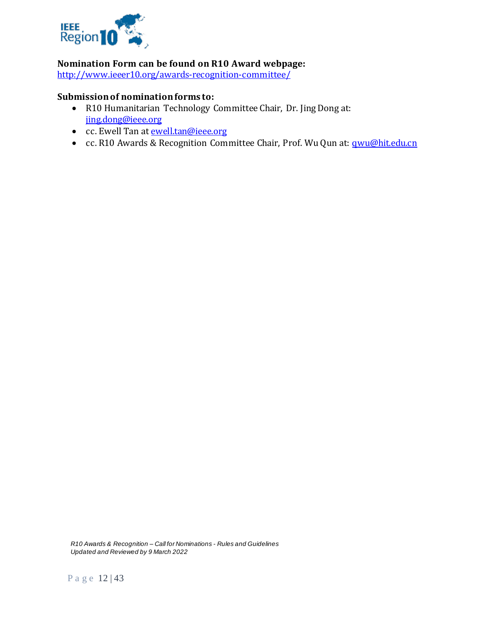

# **Nomination Form can be found on R10 Award webpage:**

<http://www.ieeer10.org/awards-recognition-committee/>

# **Submission of nomination forms to:**

- R10 Humanitarian Technology Committee Chair, Dr. Jing Dong at: [jing.dong@ieee.org](mailto:jing.dong@ieee.org)
- cc. Ewell Tan at **ewell.tan@ieee.org**
- cc. R10 Awards & Recognition Committee Chair, Prof. Wu Qun at: **qwu@hit.edu.cn**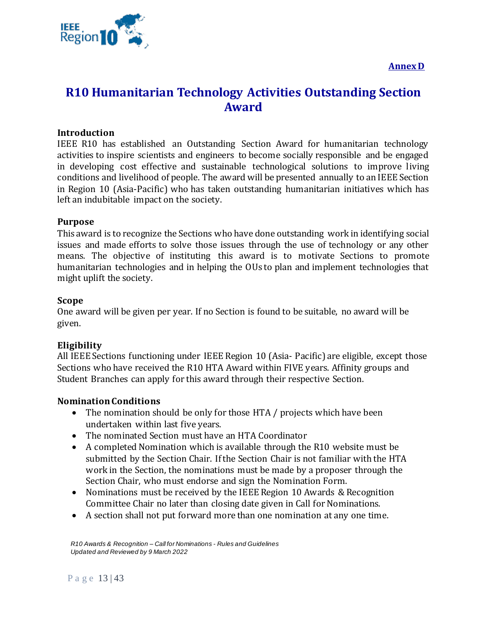

**Annex D**

# <span id="page-12-1"></span><span id="page-12-0"></span>**R10 Humanitarian Technology Activities Outstanding Section Award**

# **Introduction**

IEEE R10 has established an Outstanding Section Award for humanitarian technology activities to inspire scientists and engineers to become socially responsible and be engaged in developing cost effective and sustainable technological solutions to improve living conditions and livelihood of people. The award will be presented annually to an IEEE Section in Region 10 (Asia-Pacific) who has taken outstanding humanitarian initiatives which has left an indubitable impact on the society.

## **Purpose**

This award is to recognize the Sections who have done outstanding work in identifying social issues and made efforts to solve those issues through the use of technology or any other means. The objective of instituting this award is to motivate Sections to promote humanitarian technologies and in helping the OUs to plan and implement technologies that might uplift the society.

# **Scope**

One award will be given per year. If no Section is found to be suitable, no award will be given.

# **Eligibility**

All IEEE Sections functioning under IEEE Region 10 (Asia- Pacific) are eligible, except those Sections who have received the R10 HTA Award within FIVE years. Affinity groups and Student Branches can apply for this award through their respective Section.

## **Nomination Conditions**

- The nomination should be only for those HTA / projects which have been undertaken within last five years.
- The nominated Section must have an HTA Coordinator
- A completed Nomination which is available through the R10 website must be submitted by the Section Chair. If the Section Chair is not familiar with the HTA work in the Section, the nominations must be made by a proposer through the Section Chair, who must endorse and sign the Nomination Form.
- Nominations must be received by the IEEE Region 10 Awards & Recognition Committee Chair no later than closing date given in Call for Nominations.
- A section shall not put forward more than one nomination at any one time.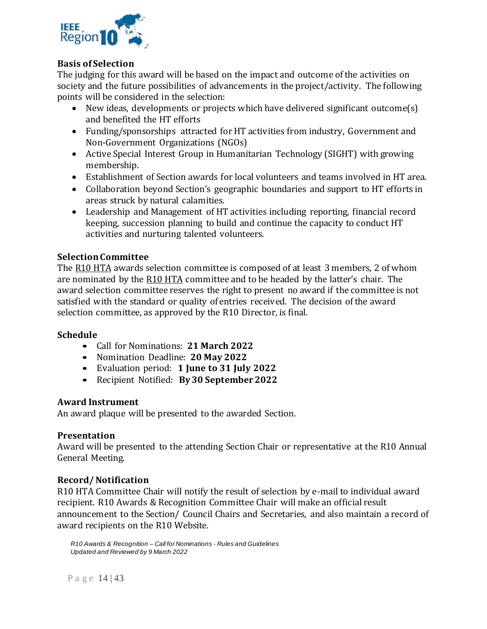

# **Basis of Selection**

The judging for this award will be based on the impact and outcome of the activities on society and the future possibilities of advancements in the project/activity. The following points will be considered in the selection:

- New ideas, developments or projects which have delivered significant outcome(s) and benefited the HT efforts
- Funding/sponsorships attracted for HT activities from industry, Government and Non-Government Organizations (NGOs)
- Active Special Interest Group in Humanitarian Technology (SIGHT) with growing membership.
- Establishment of Section awards for local volunteers and teams involved in HT area.
- Collaboration beyond Section's geographic boundaries and support to HT efforts in areas struck by natural calamities.
- Leadership and Management of HT activities including reporting, financial record keeping, succession planning to build and continue the capacity to conduct HT activities and nurturing talented volunteers.

# **Selection Committee**

The R10 HTA awards selection committee is composed of at least 3 members, 2 of whom are nominated by the R10 HTA committee and to be headed by the latter's chair. The award selection committee reserves the right to present no award if the committee is not satisfied with the standard or quality of entries received. The decision of the award selection committee, as approved by the R10 Director, is final.

## **Schedule**

- Call for Nominations: **21 March 2022**
- Nomination Deadline: **20 May 2022**
- Evaluation period: **1 June to 31 July 2022**
- Recipient Notified: **By 30 September 2022**

## **Award Instrument**

An award plaque will be presented to the awarded Section.

## **Presentation**

Award will be presented to the attending Section Chair or representative at the R10 Annual General Meeting.

## **Record/ Notification**

R10 HTA Committee Chair will notify the result of selection by e-mail to individual award recipient. R10 Awards & Recognition Committee Chair will make an official result announcement to the Section/ Council Chairs and Secretaries, and also maintain a record of award recipients on the R10 Website.

*R10 Awards & Recognition – Call for Nominations - Rules and Guidelines Updated and Reviewed by 9 March 2022*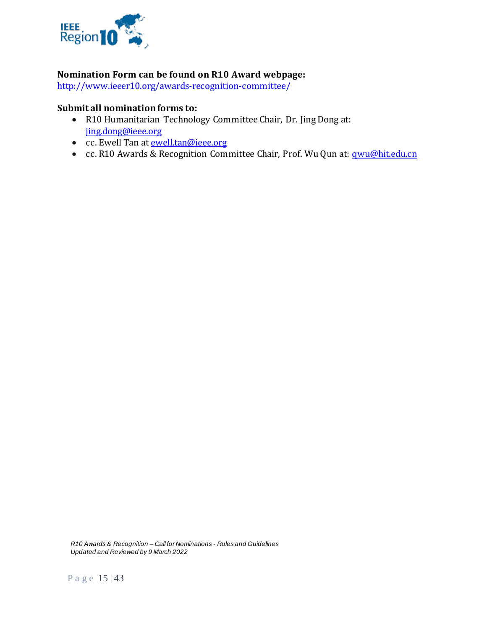

# **Nomination Form can be found on R10 Award webpage:**

<http://www.ieeer10.org/awards-recognition-committee/>

# **Submit all nomination forms to:**

- R10 Humanitarian Technology Committee Chair, Dr. Jing Dong at: [jing.dong@ieee.org](mailto:jing.dong@ieee.org)
- cc. Ewell Tan at [ewell.tan@ieee.org](mailto:ewell.tan@ieee.org)
- cc. R10 Awards & Recognition Committee Chair, Prof. Wu Qun at: **qwu@hit.edu.cn**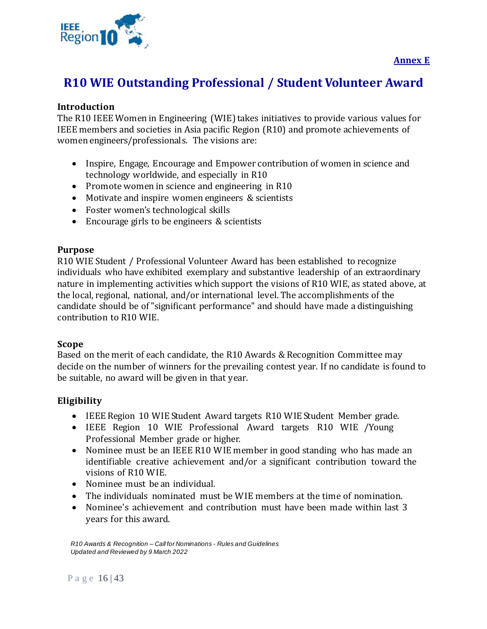

# <span id="page-15-1"></span><span id="page-15-0"></span>**R10 WIE Outstanding Professional / Student Volunteer Award**

# **Introduction**

The R10 IEEE Women in Engineering (WIE) takes initiatives to provide various values for IEEE members and societies in Asia pacific Region (R10) and promote achievements of women engineers/professionals. The visions are:

- Inspire, Engage, Encourage and Empower contribution of women in science and technology worldwide, and especially in R10
- Promote women in science and engineering in R10
- Motivate and inspire women engineers & scientists
- Foster women's technological skills
- Encourage girls to be engineers & scientists

## **Purpose**

R10 WIE Student / Professional Volunteer Award has been established to recognize individuals who have exhibited exemplary and substantive leadership of an extraordinary nature in implementing activities which support the visions of R10 WIE, as stated above, at the local, regional, national, and/or international level. The accomplishments of the candidate should be of "significant performance" and should have made a distinguishing contribution to R10 WIE.

## **Scope**

Based on the merit of each candidate, the R10 Awards & Recognition Committee may decide on the number of winners for the prevailing contest year. If no candidate is found to be suitable, no award will be given in that year.

# **Eligibility**

- IEEE Region 10 WIE Student Award targets R10 WIE Student Member grade.
- IEEE Region 10 WIE Professional Award targets R10 WIE /Young Professional Member grade or higher.
- Nominee must be an IEEE R10 WIE member in good standing who has made an identifiable creative achievement and/or a significant contribution toward the visions of R10 WIE.
- Nominee must be an individual.
- The individuals nominated must be WIE members at the time of nomination.
- Nominee's achievement and contribution must have been made within last 3 years for this award.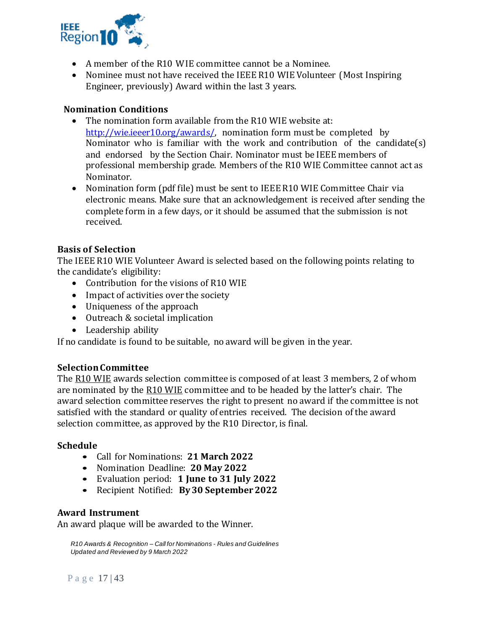

- A member of the R10 WIE committee cannot be a Nominee.
- Nominee must not have received the IEEE R10 WIE Volunteer (Most Inspiring Engineer, previously) Award within the last 3 years.

# **Nomination Conditions**

- The nomination form available from the R10 WIE website at: [http://wie.ieeer10.org/awards/,](http://wie.ieeer10.org/awards/) nomination form must be completed by Nominator who is familiar with the work and contribution of the candidate(s) and endorsed by the Section Chair. Nominator must be IEEE members of professional membership grade. Members of the R10 WIE Committee cannot act as Nominator.
- Nomination form (pdf file) must be sent to IEEE R10 WIE Committee Chair via electronic means. Make sure that an acknowledgement is received after sending the complete form in a few days, or it should be assumed that the submission is not received.

# **Basis of Selection**

The IEEE R10 WIE Volunteer Award is selected based on the following points relating to the candidate's eligibility:

- Contribution for the visions of R10 WIE
- Impact of activities over the society
- Uniqueness of the approach
- Outreach & societal implication
- Leadership ability

If no candidate is found to be suitable, no award will be given in the year.

## **Selection Committee**

The R10 WIE awards selection committee is composed of at least 3 members, 2 of whom are nominated by the R10 WIE committee and to be headed by the latter's chair. The award selection committee reserves the right to present no award if the committee is not satisfied with the standard or quality of entries received. The decision of the award selection committee, as approved by the R10 Director, is final.

#### **Schedule**

- Call for Nominations: **21 March 2022**
- Nomination Deadline: **20 May 2022**
- Evaluation period: **1 June to 31 July 2022**
- Recipient Notified: **By 30 September 2022**

## **Award Instrument**

An award plaque will be awarded to the Winner.

*R10 Awards & Recognition – Call for Nominations - Rules and Guidelines Updated and Reviewed by 9 March 2022*

P a g e 17 | 43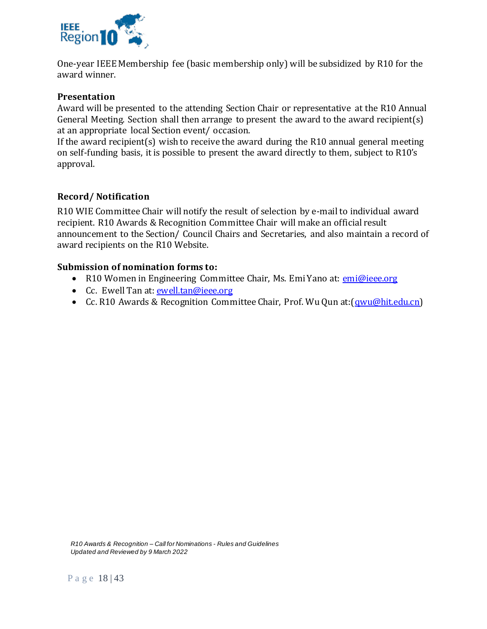

One-year IEEE Membership fee (basic membership only) will be subsidized by R10 for the award winner.

# **Presentation**

Award will be presented to the attending Section Chair or representative at the R10 Annual General Meeting. Section shall then arrange to present the award to the award recipient(s) at an appropriate local Section event/ occasion.

If the award recipient(s) wish to receive the award during the R10 annual general meeting on self-funding basis, it is possible to present the award directly to them, subject to R10's approval.

# **Record/ Notification**

R10 WIE Committee Chair will notify the result of selection by e-mail to individual award recipient. R10 Awards & Recognition Committee Chair will make an official result announcement to the Section/ Council Chairs and Secretaries, and also maintain a record of award recipients on the R10 Website.

# **Submission of nomination forms to:**

- R10 Women in Engineering Committee Chair, Ms. Emi Yano at: [emi@ieee.org](mailto:emi@ieee.org)
- Cc. Ewell Tan at: [ewell.tan@ieee.org](mailto:ewell.tan@ieee.org)
- Cc. R10 Awards & Recognition Committee Chair, Prof. Wu Qun at: [\(qwu@hit.edu.cn\)](mailto:epdadios@gmail.com)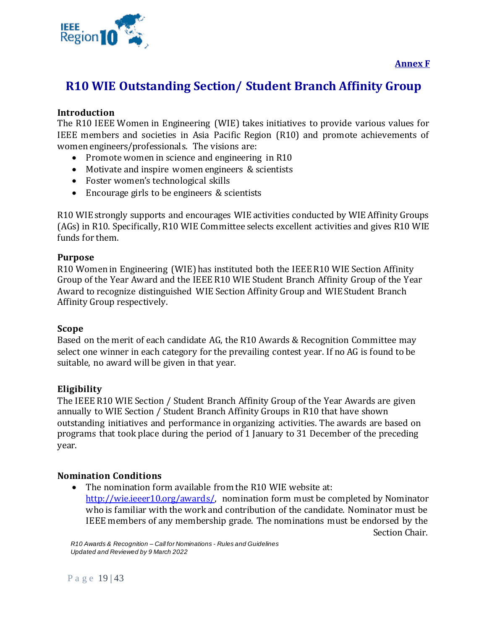



# <span id="page-18-1"></span><span id="page-18-0"></span>**R10 WIE Outstanding Section/ Student Branch Affinity Group**

# **Introduction**

The R10 IEEE Women in Engineering (WIE) takes initiatives to provide various values for IEEE members and societies in Asia Pacific Region (R10) and promote achievements of women engineers/professionals. The visions are:

- Promote women in science and engineering in R10
- Motivate and inspire women engineers & scientists
- Foster women's technological skills
- Encourage girls to be engineers & scientists

R10 WIE strongly supports and encourages WIE activities conducted by WIE Affinity Groups (AGs) in R10. Specifically, R10 WIE Committee selects excellent activities and gives R10 WIE funds for them.

# **Purpose**

R10 Women in Engineering (WIE) has instituted both the IEEE R10 WIE Section Affinity Group of the Year Award and the IEEE R10 WIE Student Branch Affinity Group of the Year Award to recognize distinguished WIE Section Affinity Group and WIE Student Branch Affinity Group respectively.

## **Scope**

Based on the merit of each candidate AG, the R10 Awards & Recognition Committee may select one winner in each category for the prevailing contest year. If no AG is found to be suitable, no award will be given in that year.

# **Eligibility**

The IEEE R10 WIE Section / Student Branch Affinity Group of the Year Awards are given annually to WIE Section / Student Branch Affinity Groups in R10 that have shown outstanding initiatives and performance in organizing activities. The awards are based on programs that took place during the period of 1 January to 31 December of the preceding year.

# **Nomination Conditions**

• The nomination form available from the R10 WIE website at: [http://wie.ieeer10.org/awards/,](http://wie.ieeer10.org/awards/) nomination form must be completed by Nominator who is familiar with the work and contribution of the candidate. Nominator must be IEEE members of any membership grade. The nominations must be endorsed by the Section Chair.

*R10 Awards & Recognition – Call for Nominations - Rules and Guidelines Updated and Reviewed by 9 March 2022*

Page 19 | 43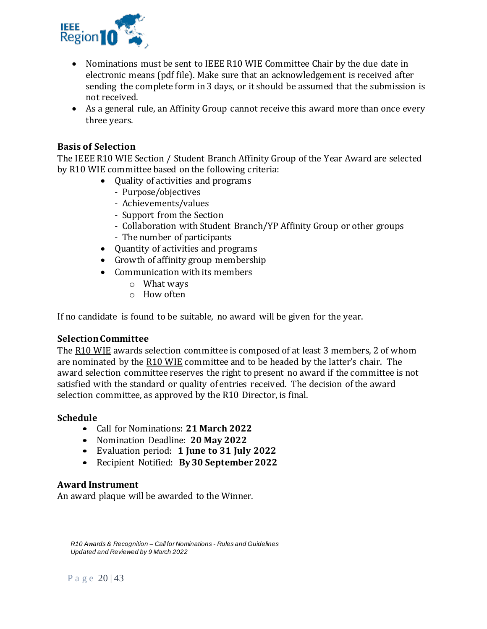

- Nominations must be sent to IEEE R10 WIE Committee Chair by the due date in electronic means (pdf file). Make sure that an acknowledgement is received after sending the complete form in 3 days, or it should be assumed that the submission is not received.
- As a general rule, an Affinity Group cannot receive this award more than once every three years.

# **Basis of Selection**

The IEEE R10 WIE Section / Student Branch Affinity Group of the Year Award are selected by R10 WIE committee based on the following criteria:

- Quality of activities and programs
	- Purpose/objectives
	- Achievements/values
	- Support from the Section
	- Collaboration with Student Branch/YP Affinity Group or other groups
	- The number of participants
- Quantity of activities and programs
- Growth of affinity group membership
- Communication with its members
	- o What ways
	- o How often

If no candidate is found to be suitable, no award will be given for the year.

## **Selection Committee**

The R10 WIE awards selection committee is composed of at least 3 members, 2 of whom are nominated by the R10 WIE committee and to be headed by the latter's chair. The award selection committee reserves the right to present no award if the committee is not satisfied with the standard or quality of entries received. The decision of the award selection committee, as approved by the R10 Director, is final.

## **Schedule**

- Call for Nominations: **21 March 2022**
- Nomination Deadline: **20 May 2022**
- Evaluation period: **1 June to 31 July 2022**
- Recipient Notified: **By 30 September 2022**

# **Award Instrument**

An award plaque will be awarded to the Winner.

*R10 Awards & Recognition – Call for Nominations - Rules and Guidelines Updated and Reviewed by 9 March 2022*

P a g e 20 | 43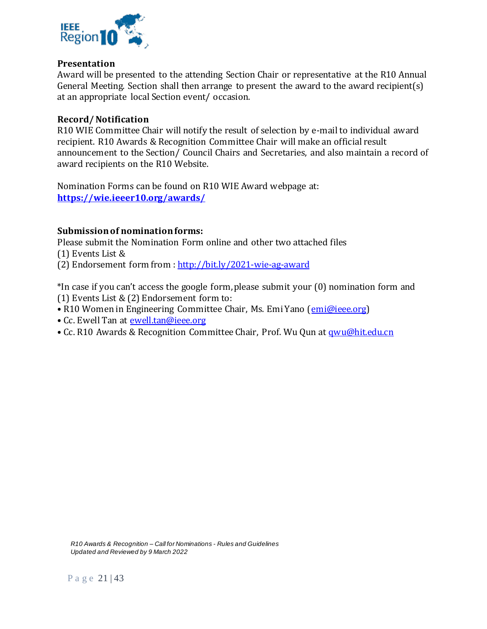

### **Presentation**

Award will be presented to the attending Section Chair or representative at the R10 Annual General Meeting. Section shall then arrange to present the award to the award recipient(s) at an appropriate local Section event/ occasion.

### **Record/ Notification**

R10 WIE Committee Chair will notify the result of selection by e-mail to individual award recipient. R10 Awards & Recognition Committee Chair will make an official result announcement to the Section/ Council Chairs and Secretaries, and also maintain a record of award recipients on the R10 Website.

Nomination Forms can be found on R10 WIE Award webpage at: **<https://wie.ieeer10.org/awards/>**

# **Submission of nomination forms:**

Please submit the Nomination Form online and other two attached files

(1) Events List &

(2) Endorsement form from :<http://bit.ly/2021-wie-ag-award>

\*In case if you can't access the google form, please submit your (0) nomination form and (1) Events List  $\&$  (2) Endorsement form to:

• R10 Women in Engineering Committee Chair, Ms. Emi Yano ([emi@ieee.org\)](mailto:emi@ieee.org)

- Cc. Ewell Tan at [ewell.tan@ieee.org](mailto:ewell.tan@ieee.org)
- Cc. R10 Awards & Recognition Committee Chair, Prof. Wu Qun at *qwu@hit.edu.cn*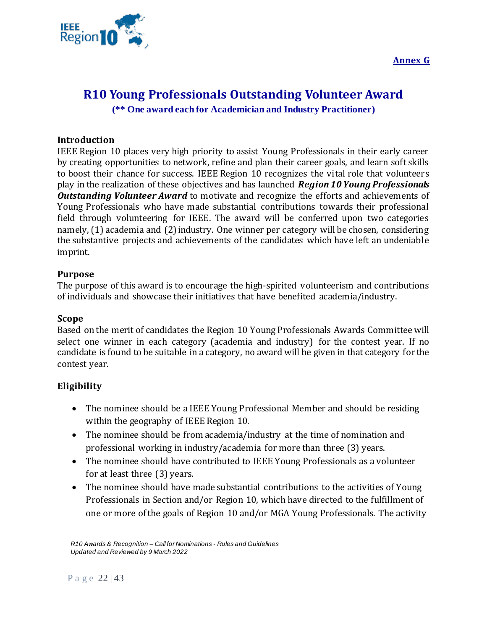**Annex G**



# <span id="page-21-1"></span><span id="page-21-0"></span>**R10 Young Professionals Outstanding Volunteer Award**

**(\*\* One award each for Academician and Industry Practitioner)**

# **Introduction**

IEEE Region 10 places very high priority to assist Young Professionals in their early career by creating opportunities to network, refine and plan their career goals, and learn soft skills to boost their chance for success. IEEE Region 10 recognizes the vital role that volunteers play in the realization of these objectives and has launched *Region 10 Young Professionals Outstanding Volunteer Award* to motivate and recognize the efforts and achievements of Young Professionals who have made substantial contributions towards their professional field through volunteering for IEEE. The award will be conferred upon two categories namely, (1) academia and (2) industry. One winner per category will be chosen, considering the substantive projects and achievements of the candidates which have left an undeniable imprint.

# **Purpose**

The purpose of this award is to encourage the high-spirited volunteerism and contributions of individuals and showcase their initiatives that have benefited academia/industry.

## **Scope**

Based on the merit of candidates the Region 10 Young Professionals Awards Committee will select one winner in each category (academia and industry) for the contest year. If no candidate is found to be suitable in a category, no award will be given in that category for the contest year.

# **Eligibility**

- The nominee should be a IEEE Young Professional Member and should be residing within the geography of IEEE Region 10.
- The nominee should be from academia/industry at the time of nomination and professional working in industry/academia for more than three (3) years.
- The nominee should have contributed to IEEE Young Professionals as a volunteer for at least three (3) years.
- The nominee should have made substantial contributions to the activities of Young Professionals in Section and/or Region 10, which have directed to the fulfillment of one or more of the goals of Region 10 and/or MGA Young Professionals. The activity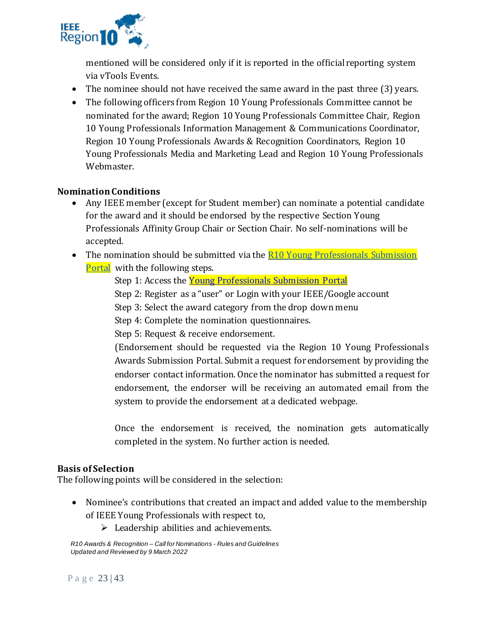

mentioned will be considered only if it is reported in the official reporting system via vTools Events.

- The nominee should not have received the same award in the past three (3) years.
- The following officers from Region 10 Young Professionals Committee cannot be nominated for the award; Region 10 Young Professionals Committee Chair, Region 10 Young Professionals Information Management & Communications Coordinator, Region 10 Young Professionals Awards & Recognition Coordinators, Region 10 Young Professionals Media and Marketing Lead and Region 10 Young Professionals Webmaster.

# **Nomination Conditions**

- Any IEEE member (except for Student member) can nominate a potential candidate for the award and it should be endorsed by the respective Section Young Professionals Affinity Group Chair or Section Chair. No self-nominations will be accepted.
- The nomination should be submitted via the R10 Young Professionals Submission [Portal](https://yp.ieeer10.org/r10-yp-award-submission-portal/) with the following steps.
	- Step 1: Access the **Young Professionals Submission Portal**
	- Step 2: Register as a "user" or Login with your IEEE/Google account
	- Step 3: Select the award category from the drop down menu
	- Step 4: Complete the nomination questionnaires.
	- Step 5: Request & receive endorsement.

(Endorsement should be requested via the Region 10 Young Professionals Awards Submission Portal. Submit a request for endorsement by providing the endorser contact information. Once the nominator has submitted a request for endorsement, the endorser will be receiving an automated email from the system to provide the endorsement at a dedicated webpage.

Once the endorsement is received, the nomination gets automatically completed in the system. No further action is needed.

## **Basis of Selection**

The following points will be considered in the selection:

- Nominee's contributions that created an impact and added value to the membership of IEEE Young Professionals with respect to,
	- $\triangleright$  Leadership abilities and achievements.

*R10 Awards & Recognition – Call for Nominations - Rules and Guidelines Updated and Reviewed by 9 March 2022*

P a g e 23 | 43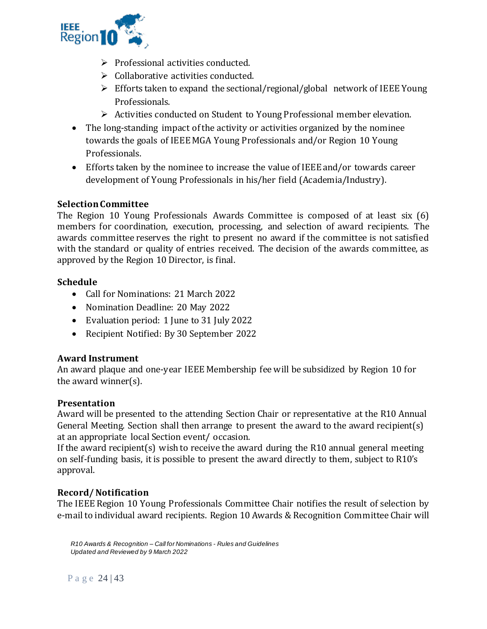

- ➢ Professional activities conducted.
- ➢ Collaborative activities conducted.
- ➢ Efforts taken to expand the sectional/regional/global network of IEEE Young Professionals.
- ➢ Activities conducted on Student to Young Professional member elevation.
- The long-standing impact of the activity or activities organized by the nominee towards the goals of IEEE MGA Young Professionals and/or Region 10 Young Professionals.
- Efforts taken by the nominee to increase the value of IEEE and/or towards career development of Young Professionals in his/her field (Academia/Industry).

# **Selection Committee**

The Region 10 Young Professionals Awards Committee is composed of at least six (6) members for coordination, execution, processing, and selection of award recipients. The awards committee reserves the right to present no award if the committee is not satisfied with the standard or quality of entries received. The decision of the awards committee, as approved by the Region 10 Director, is final.

## **Schedule**

- Call for Nominations: 21 March 2022
- Nomination Deadline: 20 May 2022
- Evaluation period: 1 June to 31 July 2022
- Recipient Notified: By 30 September 2022

## **Award Instrument**

An award plaque and one-year IEEE Membership fee will be subsidized by Region 10 for the award winner(s).

## **Presentation**

Award will be presented to the attending Section Chair or representative at the R10 Annual General Meeting. Section shall then arrange to present the award to the award recipient(s) at an appropriate local Section event/ occasion.

If the award recipient(s) wish to receive the award during the R10 annual general meeting on self-funding basis, it is possible to present the award directly to them, subject to R10's approval.

## **Record/ Notification**

The IEEE Region 10 Young Professionals Committee Chair notifies the result of selection by e-mail to individual award recipients. Region 10 Awards & Recognition Committee Chair will

*R10 Awards & Recognition – Call for Nominations - Rules and Guidelines Updated and Reviewed by 9 March 2022*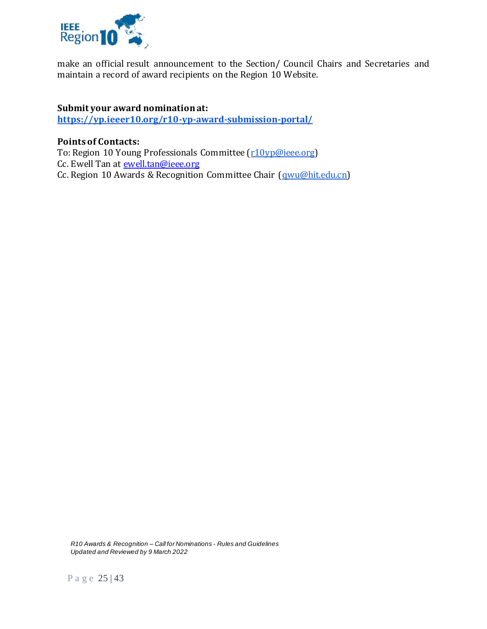

make an official result announcement to the Section/ Council Chairs and Secretaries and maintain a record of award recipients on the Region 10 Website.

# **Submit your award nomination at:**

**<https://yp.ieeer10.org/r10-yp-award-submission-portal/>**

# **Points of Contacts:**

To: Region 10 Young Professionals Committee [\(r10yp@ieee.org\)](mailto:r10yp@ieee.org) Cc. Ewell Tan at **ewell.tan@ieee.org** Cc. Region 10 Awards & Recognition Committee Chair [\(qwu@hit.edu.cn\)](mailto:qwu@hit.edu.cn)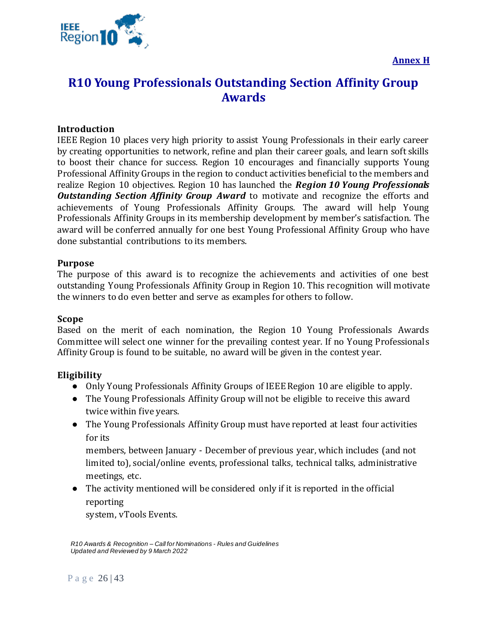

# <span id="page-25-1"></span><span id="page-25-0"></span>**R10 Young Professionals Outstanding Section Affinity Group Awards**

# **Introduction**

IEEE Region 10 places very high priority to assist Young Professionals in their early career by creating opportunities to network, refine and plan their career goals, and learn soft skills to boost their chance for success. Region 10 encourages and financially supports Young Professional Affinity Groups in the region to conduct activities beneficial to the members and realize Region 10 objectives. Region 10 has launched the *Region 10 Young Professionals*  **Outstanding Section Affinity Group Award** to motivate and recognize the efforts and achievements of Young Professionals Affinity Groups. The award will help Young Professionals Affinity Groups in its membership development by member's satisfaction. The award will be conferred annually for one best Young Professional Affinity Group who have done substantial contributions to its members.

#### **Purpose**

The purpose of this award is to recognize the achievements and activities of one best outstanding Young Professionals Affinity Group in Region 10. This recognition will motivate the winners to do even better and serve as examples for others to follow.

#### **Scope**

Based on the merit of each nomination, the Region 10 Young Professionals Awards Committee will select one winner for the prevailing contest year. If no Young Professionals Affinity Group is found to be suitable, no award will be given in the contest year.

## **Eligibility**

- Only Young Professionals Affinity Groups of IEEE Region 10 are eligible to apply.
- The Young Professionals Affinity Group will not be eligible to receive this award twice within five years.
- The Young Professionals Affinity Group must have reported at least four activities for its

members, between January - December of previous year, which includes (and not limited to), social/online events, professional talks, technical talks, administrative meetings, etc.

● The activity mentioned will be considered only if it is reported in the official reporting

system, vTools Events.

*R10 Awards & Recognition – Call for Nominations - Rules and Guidelines Updated and Reviewed by 9 March 2022*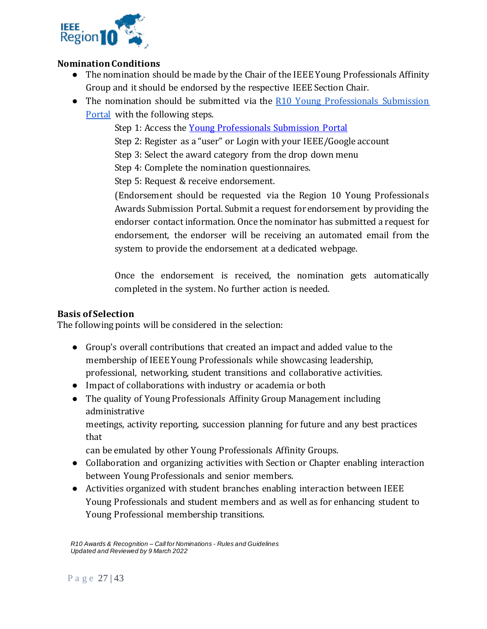

# **Nomination Conditions**

- The nomination should be made by the Chair of the IEEE Young Professionals Affinity Group and it should be endorsed by the respective IEEE Section Chair.
- The nomination should be submitted via the R10 Young Professionals Submission [Portal](https://yp.ieeer10.org/r10-yp-award-submission-portal/) with the following steps.
	- Step 1: Access the [Young Professionals Submission Portal](https://yp.ieeer10.org/r10-yp-award-submission-portal/)
	- Step 2: Register as a "user" or Login with your IEEE/Google account
	- Step 3: Select the award category from the drop down menu
	- Step 4: Complete the nomination questionnaires.

Step 5: Request & receive endorsement.

(Endorsement should be requested via the Region 10 Young Professionals Awards Submission Portal. Submit a request for endorsement by providing the endorser contact information. Once the nominator has submitted a request for endorsement, the endorser will be receiving an automated email from the system to provide the endorsement at a dedicated webpage.

Once the endorsement is received, the nomination gets automatically completed in the system. No further action is needed.

# **Basis of Selection**

The following points will be considered in the selection:

- Group's overall contributions that created an impact and added value to the membership of IEEE Young Professionals while showcasing leadership, professional, networking, student transitions and collaborative activities.
- Impact of collaborations with industry or academia or both
- The quality of Young Professionals Affinity Group Management including administrative

meetings, activity reporting, succession planning for future and any best practices that

can be emulated by other Young Professionals Affinity Groups.

- Collaboration and organizing activities with Section or Chapter enabling interaction between Young Professionals and senior members.
- Activities organized with student branches enabling interaction between IEEE Young Professionals and student members and as well as for enhancing student to Young Professional membership transitions.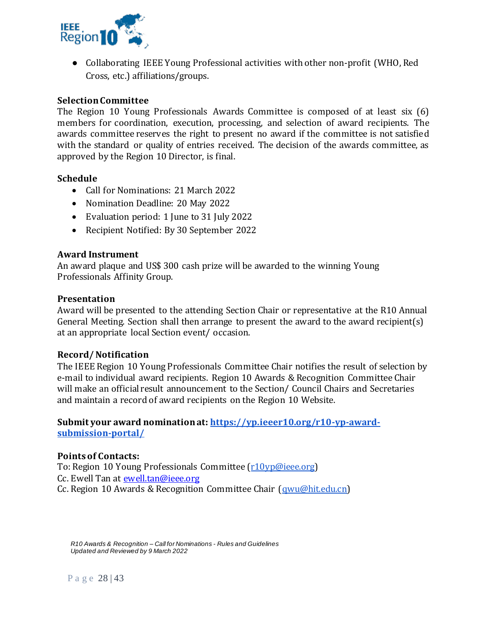

● Collaborating IEEE Young Professional activities with other non-profit (WHO, Red Cross, etc.) affiliations/groups.

# **Selection Committee**

The Region 10 Young Professionals Awards Committee is composed of at least six (6) members for coordination, execution, processing, and selection of award recipients. The awards committee reserves the right to present no award if the committee is not satisfied with the standard or quality of entries received. The decision of the awards committee, as approved by the Region 10 Director, is final.

## **Schedule**

- Call for Nominations: 21 March 2022
- Nomination Deadline: 20 May 2022
- Evaluation period: 1 June to 31 July 2022
- Recipient Notified: By 30 September 2022

#### **Award Instrument**

An award plaque and US\$ 300 cash prize will be awarded to the winning Young Professionals Affinity Group.

#### **Presentation**

Award will be presented to the attending Section Chair or representative at the R10 Annual General Meeting. Section shall then arrange to present the award to the award recipient(s) at an appropriate local Section event/ occasion.

#### **Record/ Notification**

The IEEE Region 10 Young Professionals Committee Chair notifies the result of selection by e-mail to individual award recipients. Region 10 Awards & Recognition Committee Chair will make an official result announcement to the Section/ Council Chairs and Secretaries and maintain a record of award recipients on the Region 10 Website.

## **Submit your award nomination at: [https://yp.ieeer10.org/r10-yp-award](https://yp.ieeer10.org/r10-yp-award-submission-portal/)[submission-portal/](https://yp.ieeer10.org/r10-yp-award-submission-portal/)**

#### **Points of Contacts:**

To: Region 10 Young Professionals Committee [\(r10yp@ieee.org\)](mailto:r10yp@ieee.org) Cc. Ewell Tan at [ewell.tan@ieee.org](mailto:ewell.tan@ieee.org) Cc. Region 10 Awards & Recognition Committee Chair [\(qwu@hit.edu.cn\)](mailto:qwu@hit.edu.cn)

*R10 Awards & Recognition – Call for Nominations - Rules and Guidelines Updated and Reviewed by 9 March 2022*

P a g e 28 | 43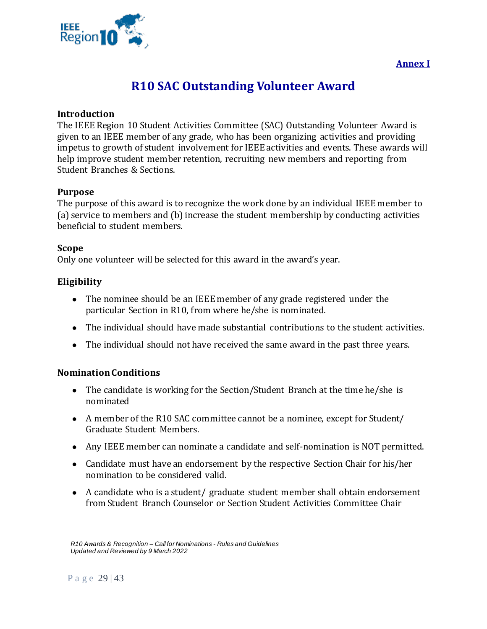<span id="page-28-1"></span>

# **Annex I**

# **R10 SAC Outstanding Volunteer Award**

## <span id="page-28-0"></span>**Introduction**

The IEEE Region 10 Student Activities Committee (SAC) Outstanding Volunteer Award is given to an IEEE member of any grade, who has been organizing activities and providing impetus to growth of student involvement for IEEE activities and events. These awards will help improve student member retention, recruiting new members and reporting from Student Branches & Sections.

## **Purpose**

The purpose of this award is to recognize the work done by an individual IEEE member to (a) service to members and (b) increase the student membership by conducting activities beneficial to student members.

#### **Scope**

Only one volunteer will be selected for this award in the award's year.

## **Eligibility**

- The nominee should be an IEEE member of any grade registered under the particular Section in R10, from where he/she is nominated.
- The individual should have made substantial contributions to the student activities.
- The individual should not have received the same award in the past three years.

## **Nomination Conditions**

- The candidate is working for the Section/Student Branch at the time he/she is nominated
- A member of the R10 SAC committee cannot be a nominee, except for Student/ Graduate Student Members.
- Any IEEE member can nominate a candidate and self-nomination is NOT permitted.
- Candidate must have an endorsement by the respective Section Chair for his/her nomination to be considered valid.
- A candidate who is a student/ graduate student member shall obtain endorsement from Student Branch Counselor or Section Student Activities Committee Chair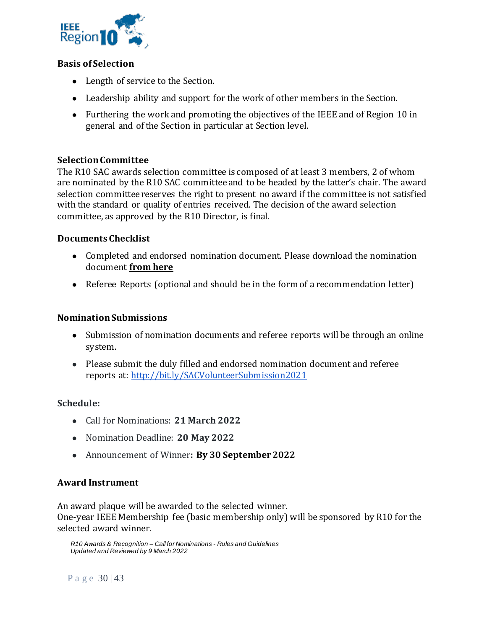

# **Basis of Selection**

- Length of service to the Section.
- Leadership ability and support for the work of other members in the Section.
- Furthering the work and promoting the objectives of the IEEE and of Region 10 in general and of the Section in particular at Section level.

# **Selection Committee**

The R10 SAC awards selection committee is composed of at least 3 members, 2 of whom are nominated by the R10 SAC committee and to be headed by the latter's chair. The award selection committee reserves the right to present no award if the committee is not satisfied with the standard or quality of entries received. The decision of the award selection committee, as approved by the R10 Director, is final.

# **Documents Checklist**

- Completed and endorsed nomination document. Please download the nomination document **[from here](http://bit.ly/R10SACVolunteerAwardNominationForm)**
- Referee Reports (optional and should be in the form of a recommendation letter)

# **Nomination Submissions**

- Submission of nomination documents and referee reports will be through an online system.
- Please submit the duly filled and endorsed nomination document and referee reports at:<http://bit.ly/SACVolunteerSubmission2021>

## **Schedule:**

- Call for Nominations: **21 March 2022**
- Nomination Deadline: **20 May 2022**
- Announcement of Winner**: By 30 September 2022**

# **Award Instrument**

An award plaque will be awarded to the selected winner. One-year IEEE Membership fee (basic membership only) will be sponsored by R10 for the selected award winner.

*R10 Awards & Recognition – Call for Nominations - Rules and Guidelines Updated and Reviewed by 9 March 2022*

P a g e 30 | 43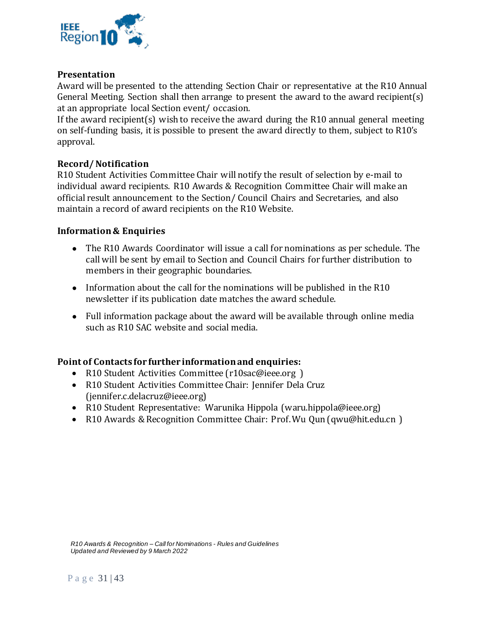

# **Presentation**

Award will be presented to the attending Section Chair or representative at the R10 Annual General Meeting. Section shall then arrange to present the award to the award recipient(s) at an appropriate local Section event/ occasion.

If the award recipient(s) wish to receive the award during the R10 annual general meeting on self-funding basis, it is possible to present the award directly to them, subject to R10's approval.

# **Record/ Notification**

R10 Student Activities Committee Chair will notify the result of selection by e-mail to individual award recipients. R10 Awards & Recognition Committee Chair will make an official result announcement to the Section/ Council Chairs and Secretaries, and also maintain a record of award recipients on the R10 Website.

## **Information & Enquiries**

- The R10 Awards Coordinator will issue a call for nominations as per schedule. The call will be sent by email to Section and Council Chairs for further distribution to members in their geographic boundaries.
- Information about the call for the nominations will be published in the R10 newsletter if its publication date matches the award schedule.
- Full information package about the award will be available through online media such as R10 SAC website and social media.

## **Point of Contacts for further information and enquiries:**

- R10 Student Activities Committee (r10sac@ieee.org)
- R10 Student Activities Committee Chair: Jennifer Dela Cruz (jennifer.c.delacruz@ieee.org)
- R10 Student Representative: Warunika Hippola (waru.hippola@ieee.org)
- R10 Awards & Recognition Committee Chair: Prof. Wu Qun (qwu@hit.edu.cn )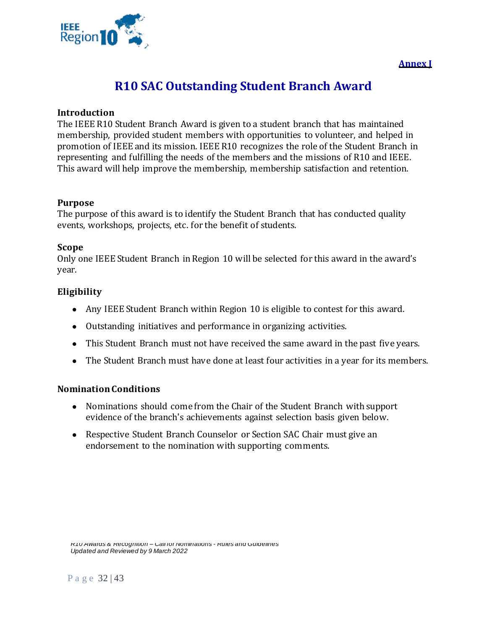<span id="page-31-1"></span>



# **R10 SAC Outstanding Student Branch Award**

### <span id="page-31-0"></span>**Introduction**

The IEEE R10 Student Branch Award is given to a student branch that has maintained membership, provided student members with opportunities to volunteer, and helped in promotion of IEEE and its mission. IEEE R10 recognizes the role of the Student Branch in representing and fulfilling the needs of the members and the missions of R10 and IEEE. This award will help improve the membership, membership satisfaction and retention.

#### **Purpose**

The purpose of this award is to identify the Student Branch that has conducted quality events, workshops, projects, etc. for the benefit of students.

#### **Scope**

Only one IEEE Student Branch in Region 10 will be selected for this award in the award's year.

# **Eligibility**

- Any IEEE Student Branch within Region 10 is eligible to contest for this award.
- Outstanding initiatives and performance in organizing activities.
- This Student Branch must not have received the same award in the past five years.
- The Student Branch must have done at least four activities in a year for its members.

## **Nomination Conditions**

- Nominations should come from the Chair of the Student Branch with support evidence of the branch's achievements against selection basis given below.
- Respective Student Branch Counselor or Section SAC Chair must give an endorsement to the nomination with supporting comments.

*R10 Awards & Recognition – Call for Nominations - Rules and Guidelines Updated and Reviewed by 9 March 2022*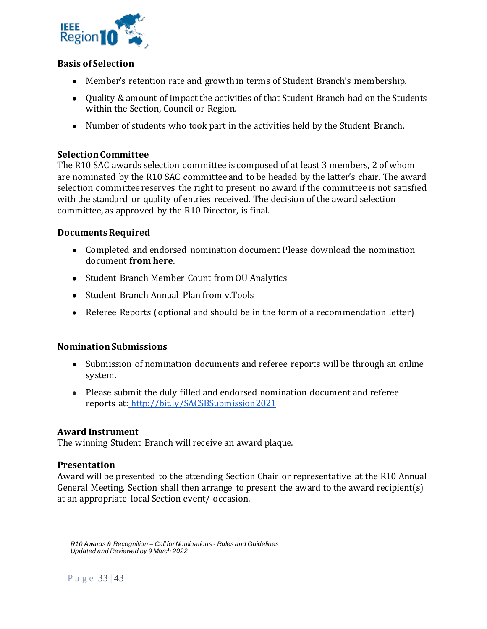

# **Basis of Selection**

- Member's retention rate and growth in terms of Student Branch's membership.
- Quality & amount of impact the activities of that Student Branch had on the Students within the Section, Council or Region.
- Number of students who took part in the activities held by the Student Branch.

# **Selection Committee**

The R10 SAC awards selection committee is composed of at least 3 members, 2 of whom are nominated by the R10 SAC committee and to be headed by the latter's chair. The award selection committee reserves the right to present no award if the committee is not satisfied with the standard or quality of entries received. The decision of the award selection committee, as approved by the R10 Director, is final.

## **Documents Required**

- Completed and endorsed nomination document Please download the nomination document **[from here](http://bit.ly/R10SACOutstandingSBAwardNomination)**.
- Student Branch Member Count from OU Analytics
- Student Branch Annual Plan from v.Tools
- Referee Reports (optional and should be in the form of a recommendation letter)

## **Nomination Submissions**

- Submission of nomination documents and referee reports will be through an online system.
- Please submit the duly filled and endorsed nomination document and referee reports at: <http://bit.ly/SACSBSubmission2021>

## **Award Instrument**

The winning Student Branch will receive an award plaque.

## **Presentation**

Award will be presented to the attending Section Chair or representative at the R10 Annual General Meeting. Section shall then arrange to present the award to the award recipient(s) at an appropriate local Section event/ occasion.

*R10 Awards & Recognition – Call for Nominations - Rules and Guidelines Updated and Reviewed by 9 March 2022*

P a g e 33 | 43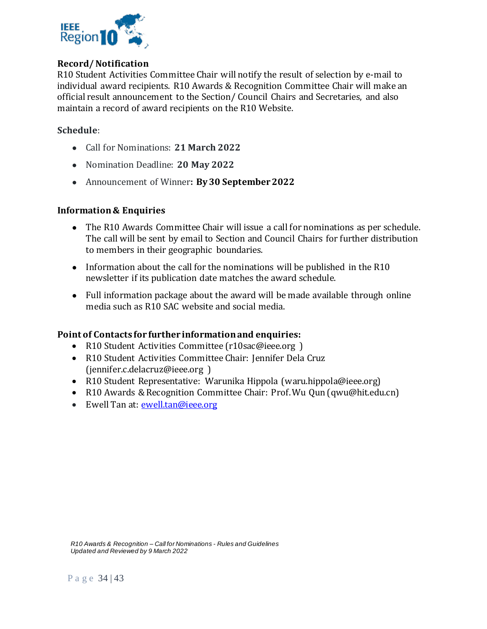

# **Record/ Notification**

R10 Student Activities Committee Chair will notify the result of selection by e-mail to individual award recipients. R10 Awards & Recognition Committee Chair will make an official result announcement to the Section/ Council Chairs and Secretaries, and also maintain a record of award recipients on the R10 Website.

# **Schedule**:

- Call for Nominations: **21 March 2022**
- Nomination Deadline: **20 May 2022**
- Announcement of Winner**: By 30 September 2022**

## **Information & Enquiries**

- The R10 Awards Committee Chair will issue a call for nominations as per schedule. The call will be sent by email to Section and Council Chairs for further distribution to members in their geographic boundaries.
- Information about the call for the nominations will be published in the R10 newsletter if its publication date matches the award schedule.
- Full information package about the award will be made available through online media such as R10 SAC website and social media.

## **Point of Contacts for further information and enquiries:**

- R10 Student Activities Committee (r10sac@ieee.org)
- R10 Student Activities Committee Chair: Jennifer Dela Cruz (jennifer.c.delacruz@ieee.org )
- R10 Student Representative: Warunika Hippola (waru.hippola@ieee.org)
- R10 Awards & Recognition Committee Chair: Prof. Wu Qun (qwu@hit.edu.cn)
- Ewell Tan at: [ewell.tan@ieee.org](mailto:ewell.tan@ieee.org)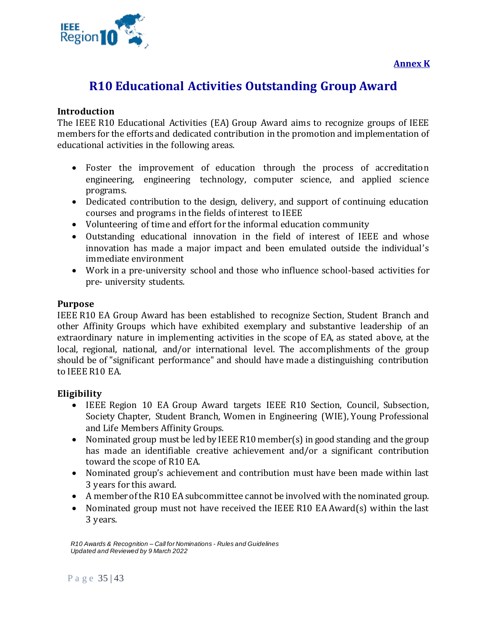

# <span id="page-34-1"></span><span id="page-34-0"></span>**R10 Educational Activities Outstanding Group Award**

# **Introduction**

The IEEE R10 Educational Activities (EA) Group Award aims to recognize groups of IEEE members for the efforts and dedicated contribution in the promotion and implementation of educational activities in the following areas.

- Foster the improvement of education through the process of accreditation engineering, engineering technology, computer science, and applied science programs.
- Dedicated contribution to the design, delivery, and support of continuing education courses and programs in the fields of interest to IEEE
- Volunteering of time and effort for the informal education community
- Outstanding educational innovation in the field of interest of IEEE and whose innovation has made a major impact and been emulated outside the individual's immediate environment
- Work in a pre-university school and those who influence school-based activities for pre- university students.

## **Purpose**

IEEE R10 EA Group Award has been established to recognize Section, Student Branch and other Affinity Groups which have exhibited exemplary and substantive leadership of an extraordinary nature in implementing activities in the scope of EA, as stated above, at the local, regional, national, and/or international level. The accomplishments of the group should be of "significant performance" and should have made a distinguishing contribution to IEEE R10 EA.

## **Eligibility**

- IEEE Region 10 EA Group Award targets IEEE R10 Section, Council, Subsection, Society Chapter, Student Branch, Women in Engineering (WIE), Young Professional and Life Members Affinity Groups.
- Nominated group must be led by IEEE R10 member(s) in good standing and the group has made an identifiable creative achievement and/or a significant contribution toward the scope of R10 EA.
- Nominated group's achievement and contribution must have been made within last 3 years for this award.
- A member of the R10 EA subcommittee cannot be involved with the nominated group.
- Nominated group must not have received the IEEE R10 EA Award(s) within the last 3 years.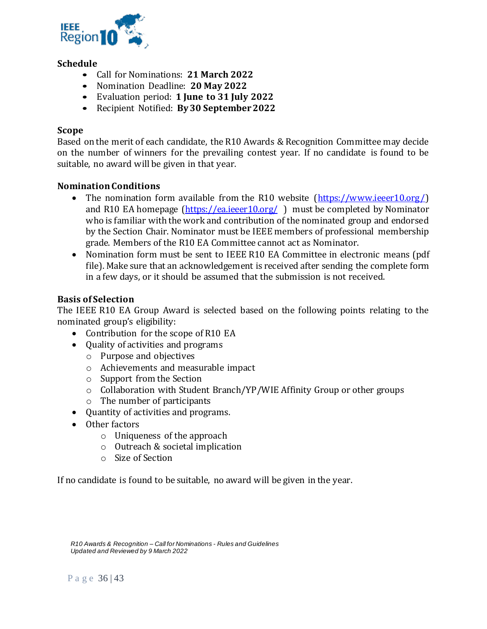

# **Schedule**

- Call for Nominations: **21 March 2022**
- Nomination Deadline: **20 May 2022**
- Evaluation period: **1 June to 31 July 2022**
- Recipient Notified: **By 30 September 2022**

# **Scope**

Based on the merit of each candidate, the R10 Awards & Recognition Committee may decide on the number of winners for the prevailing contest year. If no candidate is found to be suitable, no award will be given in that year.

## **Nomination Conditions**

- The nomination form available from the R10 website [\(https://www.ieeer10.org/\)](https://www.ieeer10.org/) and R10 EA homepage [\(https://ea.ieeer10.org/](https://ea.ieeer10.org/)) must be completed by Nominator who is familiar with the work and contribution of the nominated group and endorsed by the Section Chair. Nominator must be IEEE members of professional membership grade. Members of the R10 EA Committee cannot act as Nominator.
- Nomination form must be sent to IEEE R10 EA Committee in electronic means (pdf file). Make sure that an acknowledgement is received after sending the complete form in a few days, or it should be assumed that the submission is not received.

# **Basis of Selection**

The IEEE R10 EA Group Award is selected based on the following points relating to the nominated group's eligibility:

- Contribution for the scope of R10 EA
- Quality of activities and programs
	- o Purpose and objectives
	- o Achievements and measurable impact
	- o Support from the Section
	- o Collaboration with Student Branch/YP/WIE Affinity Group or other groups
	- o The number of participants
- Quantity of activities and programs.
- Other factors
	- o Uniqueness of the approach
	- o Outreach & societal implication
	- o Size of Section

If no candidate is found to be suitable, no award will be given in the year.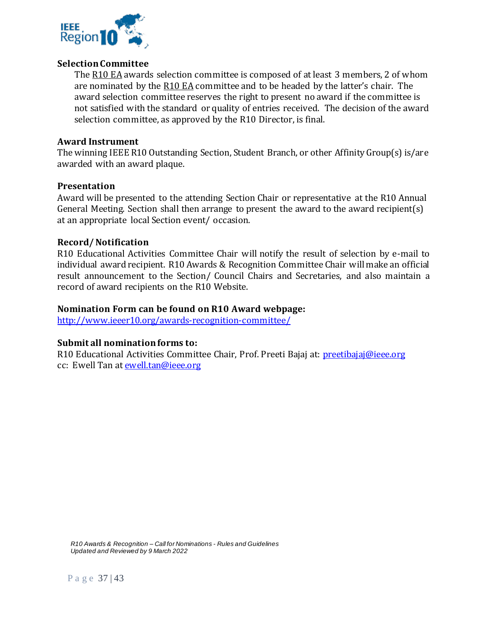

## **Selection Committee**

The R10 EA awards selection committee is composed of at least 3 members, 2 of whom are nominated by the R10 EA committee and to be headed by the latter's chair. The award selection committee reserves the right to present no award if the committee is not satisfied with the standard or quality of entries received. The decision of the award selection committee, as approved by the R10 Director, is final.

# **Award Instrument**

The winning IEEE R10 Outstanding Section, Student Branch, or other Affinity Group(s) is/are awarded with an award plaque.

## **Presentation**

Award will be presented to the attending Section Chair or representative at the R10 Annual General Meeting. Section shall then arrange to present the award to the award recipient(s) at an appropriate local Section event/ occasion.

# **Record/ Notification**

R10 Educational Activities Committee Chair will notify the result of selection by e-mail to individual award recipient. R10 Awards & Recognition Committee Chair will make an official result announcement to the Section/ Council Chairs and Secretaries, and also maintain a record of award recipients on the R10 Website.

# **Nomination Form can be found on R10 Award webpage:**

<http://www.ieeer10.org/awards-recognition-committee/>

# **Submit all nomination forms to:**

R10 Educational Activities Committee Chair, Prof. Preeti Bajaj at: [preetibajaj@ieee.org](mailto:preetibajaj@ieee.org) cc: Ewell Tan at **ewell.tan@ieee.org**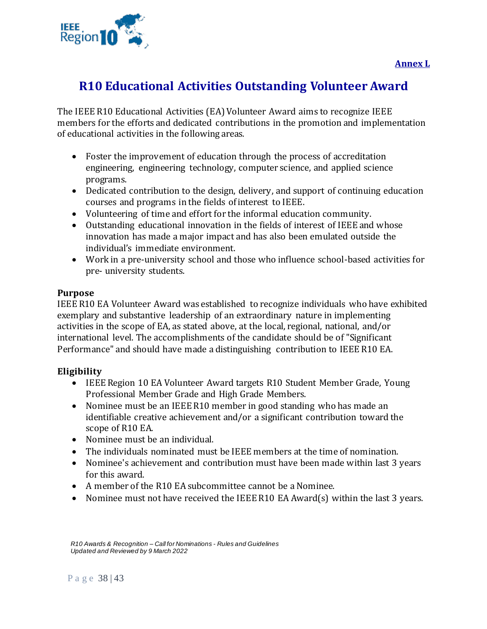

# <span id="page-37-1"></span><span id="page-37-0"></span>**R10 Educational Activities Outstanding Volunteer Award**

The IEEE R10 Educational Activities (EA) Volunteer Award aims to recognize IEEE members for the efforts and dedicated contributions in the promotion and implementation of educational activities in the following areas.

- Foster the improvement of education through the process of accreditation engineering, engineering technology, computer science, and applied science programs.
- Dedicated contribution to the design, delivery, and support of continuing education courses and programs in the fields of interest to IEEE.
- Volunteering of time and effort for the informal education community.
- Outstanding educational innovation in the fields of interest of IEEE and whose innovation has made a major impact and has also been emulated outside the individual's immediate environment.
- Work in a pre-university school and those who influence school-based activities for pre- university students.

# **Purpose**

IEEE R10 EA Volunteer Award was established to recognize individuals who have exhibited exemplary and substantive leadership of an extraordinary nature in implementing activities in the scope of EA, as stated above, at the local, regional, national, and/or international level. The accomplishments of the candidate should be of "Significant Performance" and should have made a distinguishing contribution to IEEE R10 EA.

# **Eligibility**

- IEEE Region 10 EA Volunteer Award targets R10 Student Member Grade, Young Professional Member Grade and High Grade Members.
- Nominee must be an IEEE R10 member in good standing who has made an identifiable creative achievement and/or a significant contribution toward the scope of R10 EA.
- Nominee must be an individual.
- The individuals nominated must be IEEE members at the time of nomination.
- Nominee's achievement and contribution must have been made within last 3 years for this award.
- A member of the R10 EA subcommittee cannot be a Nominee.
- Nominee must not have received the IEEE R10 EA Award(s) within the last 3 years.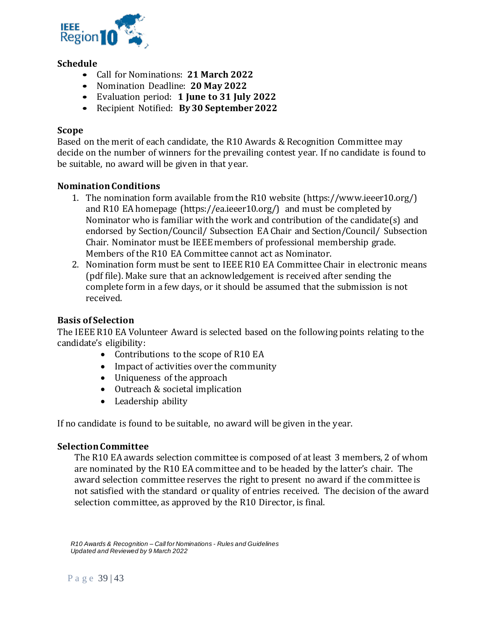

# **Schedule**

- Call for Nominations: **21 March 2022**
- Nomination Deadline: **20 May 2022**
- Evaluation period: **1 June to 31 July 2022**
- Recipient Notified: **By 30 September 2022**

# **Scope**

Based on the merit of each candidate, the R10 Awards & Recognition Committee may decide on the number of winners for the prevailing contest year. If no candidate is found to be suitable, no award will be given in that year.

# **Nomination Conditions**

- 1. The nomination form available from the R10 website (https://www.ieeer10.org/) and R10 EA homepage (https://ea.ieeer10.org/) and must be completed by Nominator who is familiar with the work and contribution of the candidate(s) and endorsed by Section/Council/ Subsection EA Chair and Section/Council/ Subsection Chair. Nominator must be IEEE members of professional membership grade. Members of the R10 EA Committee cannot act as Nominator.
- 2. Nomination form must be sent to IEEE R10 EA Committee Chair in electronic means (pdf file). Make sure that an acknowledgement is received after sending the complete form in a few days, or it should be assumed that the submission is not received.

# **Basis of Selection**

The IEEE R10 EA Volunteer Award is selected based on the following points relating to the candidate's eligibility:

- Contributions to the scope of R10 EA
- Impact of activities over the community
- Uniqueness of the approach
- Outreach & societal implication
- Leadership ability

If no candidate is found to be suitable, no award will be given in the year.

## **Selection Committee**

The R10 EA awards selection committee is composed of at least 3 members, 2 of whom are nominated by the R10 EA committee and to be headed by the latter's chair. The award selection committee reserves the right to present no award if the committee is not satisfied with the standard or quality of entries received. The decision of the award selection committee, as approved by the R10 Director, is final.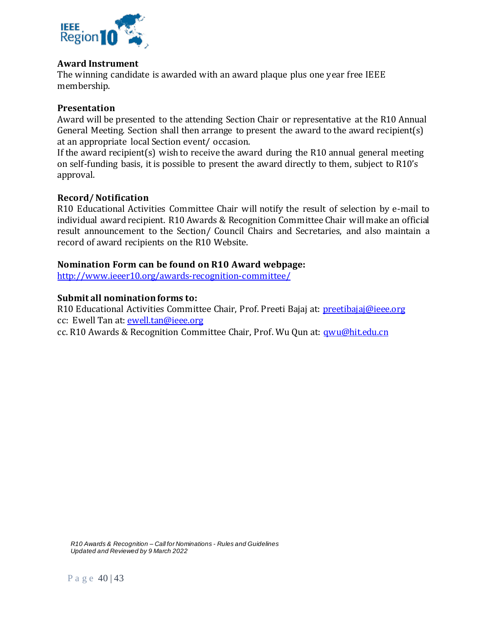

## **Award Instrument**

The winning candidate is awarded with an award plaque plus one year free IEEE membership.

# **Presentation**

Award will be presented to the attending Section Chair or representative at the R10 Annual General Meeting. Section shall then arrange to present the award to the award recipient(s) at an appropriate local Section event/ occasion.

If the award recipient(s) wish to receive the award during the R10 annual general meeting on self-funding basis, it is possible to present the award directly to them, subject to R10's approval.

## **Record/ Notification**

R10 Educational Activities Committee Chair will notify the result of selection by e-mail to individual award recipient. R10 Awards & Recognition Committee Chair will make an official result announcement to the Section/ Council Chairs and Secretaries, and also maintain a record of award recipients on the R10 Website.

## **Nomination Form can be found on R10 Award webpage:**

<http://www.ieeer10.org/awards-recognition-committee/>

## **Submit all nomination forms to:**

R10 Educational Activities Committee Chair, Prof. Preeti Bajaj at: [preetibajaj@ieee.org](mailto:preetibajaj@ieee.org) cc: Ewell Tan at: [ewell.tan@ieee.org](mailto:ewell.tan@ieee.org)

cc. R10 Awards & Recognition Committee Chair, Prof. Wu Qun at: [qwu@hit.edu.cn](mailto:qwu@hit.edu.cn)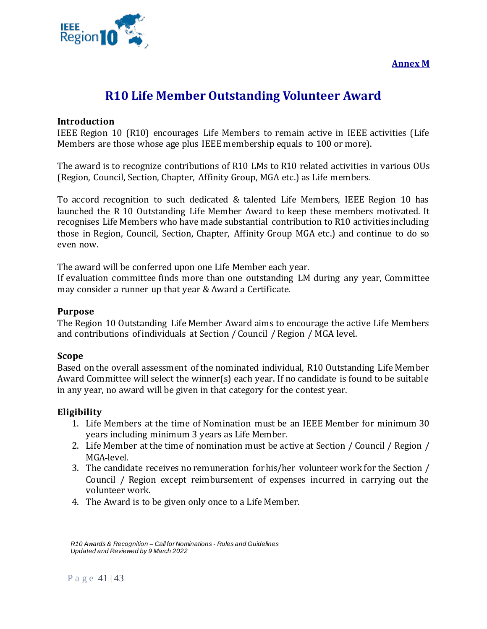**Annex M**

<span id="page-40-1"></span>

# **R10 Life Member Outstanding Volunteer Award**

## <span id="page-40-0"></span>**Introduction**

IEEE Region 10 (R10) encourages Life Members to remain active in IEEE activities (Life Members are those whose age plus IEEE membership equals to 100 or more).

The award is to recognize contributions of R10 LMs to R10 related activities in various OUs (Region, Council, Section, Chapter, Affinity Group, MGA etc.) as Life members.

To accord recognition to such dedicated & talented Life Members, IEEE Region 10 has launched the R 10 Outstanding Life Member Award to keep these members motivated. It recognises Life Members who have made substantial contribution to R10 activities including those in Region, Council, Section, Chapter, Affinity Group MGA etc.) and continue to do so even now.

The award will be conferred upon one Life Member each year.

If evaluation committee finds more than one outstanding LM during any year, Committee may consider a runner up that year & Award a Certificate.

#### **Purpose**

The Region 10 Outstanding Life Member Award aims to encourage the active Life Members and contributions of individuals at Section / Council / Region / MGA level.

#### **Scope**

Based on the overall assessment of the nominated individual, R10 Outstanding Life Member Award Committee will select the winner(s) each year. If no candidate is found to be suitable in any year, no award will be given in that category for the contest year.

## **Eligibility**

- 1. Life Members at the time of Nomination must be an IEEE Member for minimum 30 years including minimum 3 years as Life Member.
- 2. Life Member at the time of nomination must be active at Section / Council / Region / MGA level.
- 3. The candidate receives no remuneration for his/her volunteer work for the Section / Council / Region except reimbursement of expenses incurred in carrying out the volunteer work.
- 4. The Award is to be given only once to a Life Member.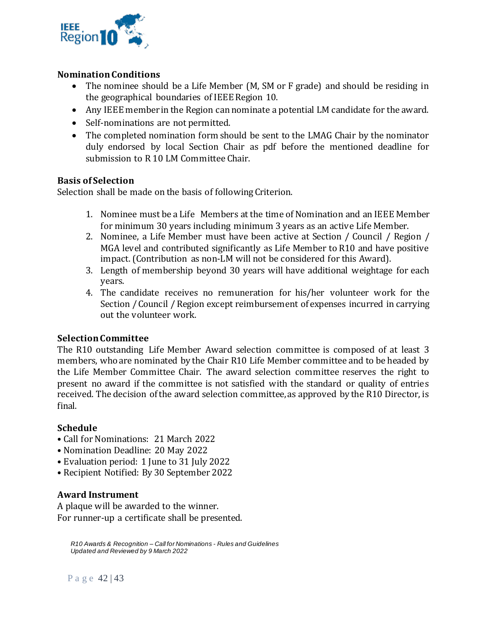

# **Nomination Conditions**

- The nominee should be a Life Member (M, SM or F grade) and should be residing in the geographical boundaries of IEEE Region 10.
- Any IEEE member in the Region can nominate a potential LM candidate for the award.
- Self-nominations are not permitted.
- The completed nomination form should be sent to the LMAG Chair by the nominator duly endorsed by local Section Chair as pdf before the mentioned deadline for submission to R 10 LM Committee Chair.

# **Basis of Selection**

Selection shall be made on the basis of following Criterion.

- 1. Nominee must be a Life Members at the time of Nomination and an IEEE Member for minimum 30 years including minimum 3 years as an active Life Member.
- 2. Nominee, a Life Member must have been active at Section / Council / Region / MGA level and contributed significantly as Life Member to R10 and have positive impact. (Contribution as non-LM will not be considered for this Award).
- 3. Length of membership beyond 30 years will have additional weightage for each years.
- 4. The candidate receives no remuneration for his/her volunteer work for the Section / Council / Region except reimbursement of expenses incurred in carrying out the volunteer work.

# **Selection Committee**

The R10 outstanding Life Member Award selection committee is composed of at least 3 members, who are nominated by the Chair R10 Life Member committee and to be headed by the Life Member Committee Chair. The award selection committee reserves the right to present no award if the committee is not satisfied with the standard or quality of entries received. The decision of the award selection committee, as approved by the R10 Director, is final.

# **Schedule**

- Call for Nominations: 21 March 2022
- Nomination Deadline: 20 May 2022
- Evaluation period: 1 June to 31 July 2022
- Recipient Notified: By 30 September 2022

# **Award Instrument**

A plaque will be awarded to the winner. For runner-up a certificate shall be presented.

*R10 Awards & Recognition – Call for Nominations - Rules and Guidelines Updated and Reviewed by 9 March 2022*

Page 42 | 43